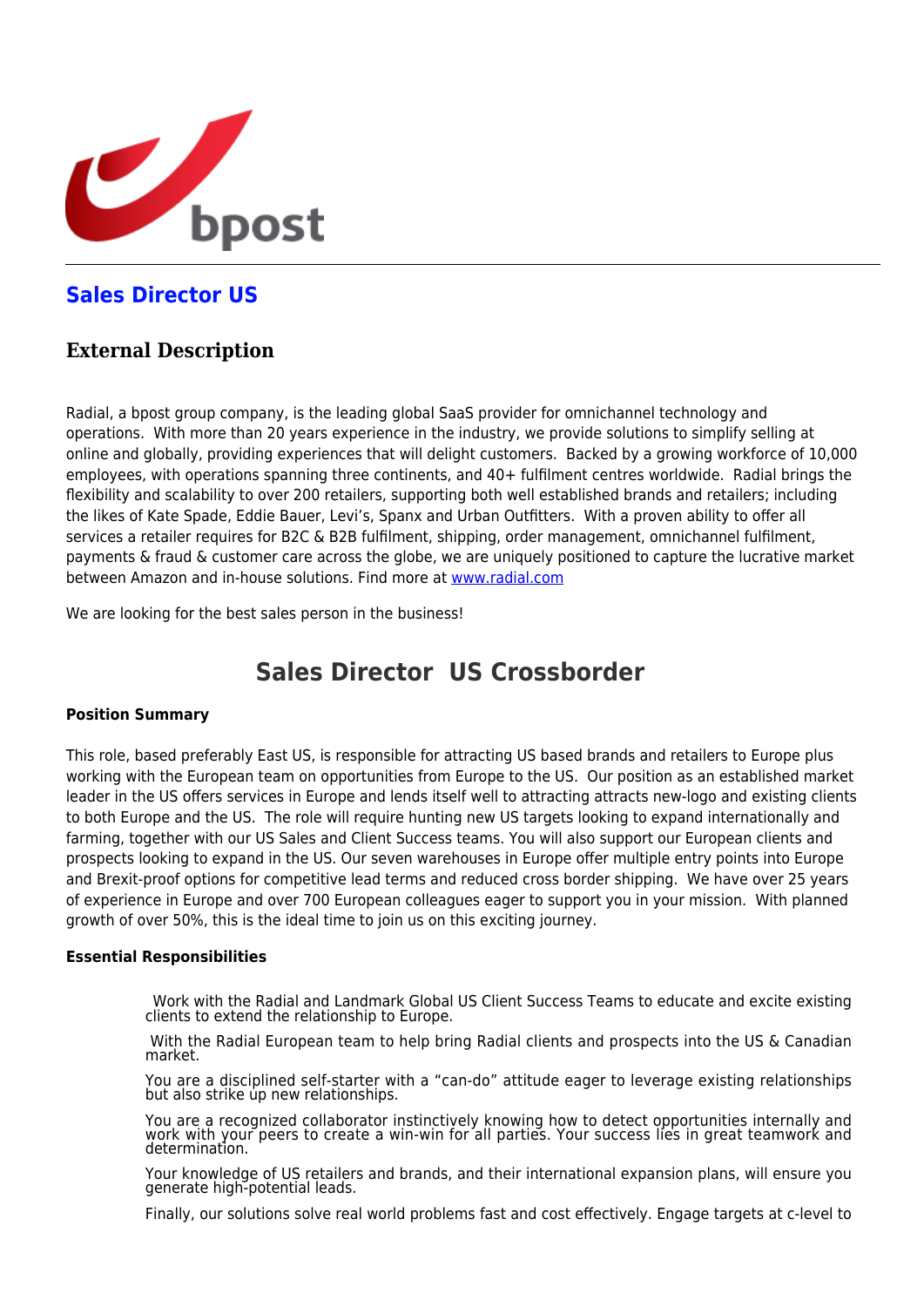

# **[Sales Director US](https://career.bpost.be/en/vacancy/sales-director-us/req5854)**

# **External Description**

Radial, a bpost group company, is the leading global SaaS provider for omnichannel technology and operations. With more than 20 years experience in the industry, we provide solutions to simplify selling at online and globally, providing experiences that will delight customers. Backed by a growing workforce of 10,000 employees, with operations spanning three continents, and 40+ fulfilment centres worldwide. Radial brings the flexibility and scalability to over 200 retailers, supporting both well established brands and retailers; including the likes of Kate Spade, Eddie Bauer, Levi's, Spanx and Urban Outfitters. With a proven ability to offer all services a retailer requires for B2C & B2B fulfilment, shipping, order management, omnichannel fulfilment, payments & fraud & customer care across the globe, we are uniquely positioned to capture the lucrative market between Amazon and in-house solutions. Find more at [www.radial.com](http://www.radial.com/)

We are looking for the best sales person in the business!

# **Sales Director US Crossborder**

## **Position Summary**

This role, based preferably East US, is responsible for attracting US based brands and retailers to Europe plus working with the European team on opportunities from Europe to the US. Our position as an established market leader in the US offers services in Europe and lends itself well to attracting attracts new-logo and existing clients to both Europe and the US. The role will require hunting new US targets looking to expand internationally and farming, together with our US Sales and Client Success teams. You will also support our European clients and prospects looking to expand in the US. Our seven warehouses in Europe offer multiple entry points into Europe and Brexit-proof options for competitive lead terms and reduced cross border shipping. We have over 25 years of experience in Europe and over 700 European colleagues eager to support you in your mission. With planned growth of over 50%, this is the ideal time to join us on this exciting journey.

### **Essential Responsibilities**

Work with the Radial and Landmark Global US Client Success Teams to educate and excite existing clients to extend the relationship to Europe.

With the Radial European team to help bring Radial clients and prospects into the US & Canadian market.

You are a disciplined self-starter with a "can-do" attitude eager to leverage existing relationships but also strike up new relationships.

You are a recognized collaborator instinctively knowing how to detect opportunities internally and work with your peers to create a win-win for all parties. Your success lies in great teamwork and determination.

Your knowledge of US retailers and brands, and their international expansion plans, will ensure you generate high-potential leads.

Finally, our solutions solve real world problems fast and cost effectively. Engage targets at c-level to